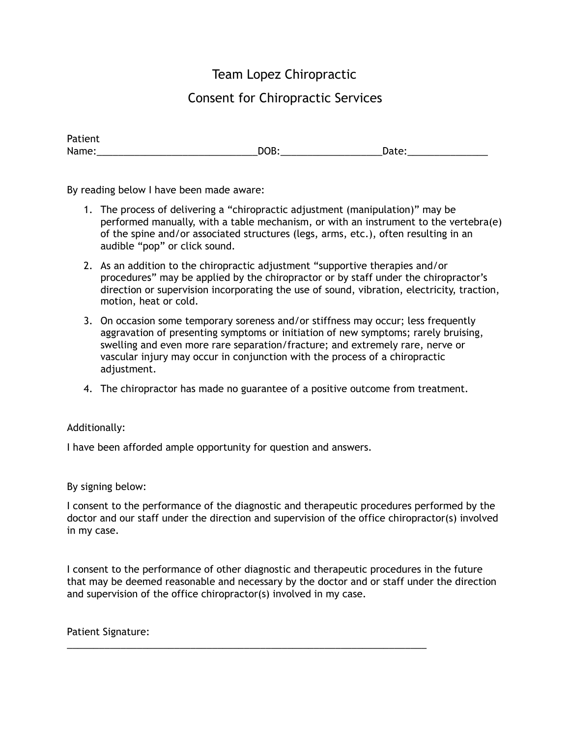## Team Lopez Chiropractic

## Consent for Chiropractic Services

| <b>FALIEIIL</b> |     |       |  |
|-----------------|-----|-------|--|
| Name:           | DOB | Date: |  |

By reading below I have been made aware:

- 1. The process of delivering a "chiropractic adjustment (manipulation)" may be performed manually, with a table mechanism, or with an instrument to the vertebra(e) of the spine and/or associated structures (legs, arms, etc.), often resulting in an audible "pop" or click sound.
- 2. As an addition to the chiropractic adjustment "supportive therapies and/or procedures" may be applied by the chiropractor or by staff under the chiropractor's direction or supervision incorporating the use of sound, vibration, electricity, traction, motion, heat or cold.
- 3. On occasion some temporary soreness and/or stiffness may occur; less frequently aggravation of presenting symptoms or initiation of new symptoms; rarely bruising, swelling and even more rare separation/fracture; and extremely rare, nerve or vascular injury may occur in conjunction with the process of a chiropractic adjustment.
- 4. The chiropractor has made no guarantee of a positive outcome from treatment.

## Additionally:

Patient

I have been afforded ample opportunity for question and answers.

## By signing below:

I consent to the performance of the diagnostic and therapeutic procedures performed by the doctor and our staff under the direction and supervision of the office chiropractor(s) involved in my case.

I consent to the performance of other diagnostic and therapeutic procedures in the future that may be deemed reasonable and necessary by the doctor and or staff under the direction and supervision of the office chiropractor(s) involved in my case.

\_\_\_\_\_\_\_\_\_\_\_\_\_\_\_\_\_\_\_\_\_\_\_\_\_\_\_\_\_\_\_\_\_\_\_\_\_\_\_\_\_\_\_\_\_\_\_\_\_\_\_\_\_\_\_\_\_\_\_\_\_\_\_\_\_\_\_

Patient Signature: